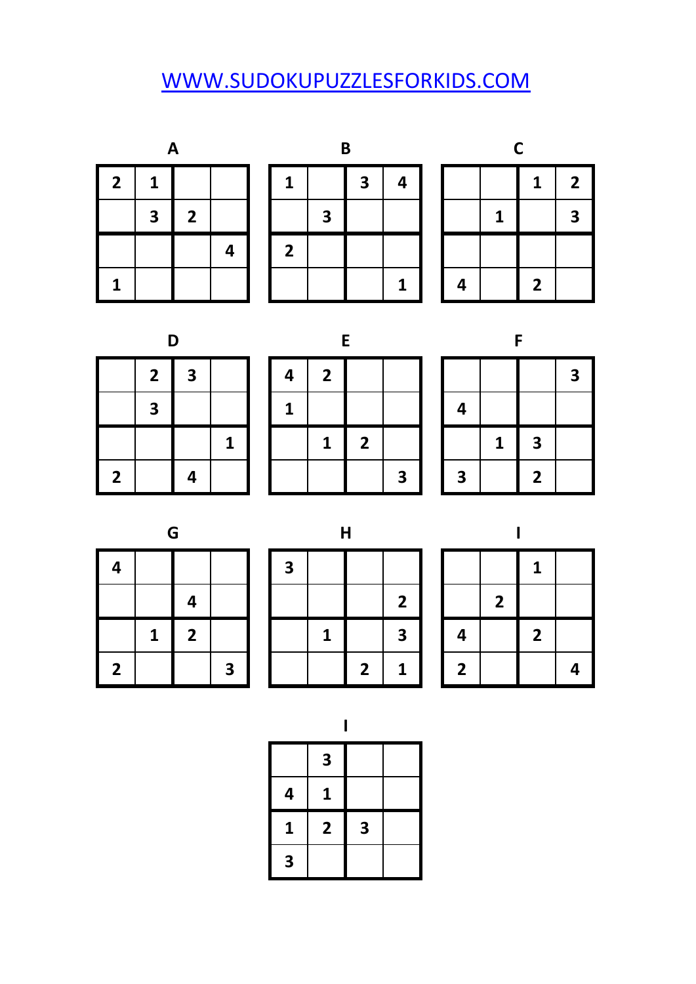## [W](http://www.sudokupuzzlesforkids.com/)WW.SUDOKUPUZZLESFORKIDS.COM

| Α                       |   |                |   |  |  |  |  |
|-------------------------|---|----------------|---|--|--|--|--|
| $\overline{\mathbf{2}}$ | 1 |                |   |  |  |  |  |
|                         | 3 | $\overline{2}$ |   |  |  |  |  |
|                         |   |                | 4 |  |  |  |  |
| 1                       |   |                |   |  |  |  |  |



|   |   | 1              | $\overline{\mathbf{2}}$ |  |  |  |  |
|---|---|----------------|-------------------------|--|--|--|--|
|   | 1 |                | 3                       |  |  |  |  |
|   |   |                |                         |  |  |  |  |
| 4 |   | $\overline{2}$ |                         |  |  |  |  |

| υ |                         |   |             |  |  |  |  |
|---|-------------------------|---|-------------|--|--|--|--|
|   | $\overline{\mathbf{2}}$ | 3 |             |  |  |  |  |
|   | 3                       |   |             |  |  |  |  |
|   |                         |   | $\mathbf 1$ |  |  |  |  |
|   |                         |   |             |  |  |  |  |

|                         | n                       |   |   |   |             | F |   |   |              |                         |   |
|-------------------------|-------------------------|---|---|---|-------------|---|---|---|--------------|-------------------------|---|
|                         | $\mathbf{2}$            | 3 |   | 4 | 2           |   |   |   |              |                         | 3 |
|                         | $\overline{\mathbf{3}}$ |   |   |   |             |   |   |   |              |                         |   |
|                         |                         |   | 1 |   | $\mathbf 1$ | 2 |   |   | $\mathbf{1}$ | $\overline{\mathbf{3}}$ |   |
| $\overline{\mathbf{2}}$ |                         |   |   |   |             |   | 3 | 3 |              | 2                       |   |

|   |   |                         | 3 |
|---|---|-------------------------|---|
| 4 |   |                         |   |
|   | 1 | 3                       |   |
| 3 |   | $\overline{\mathbf{2}}$ |   |

| 4              |   |              |   |
|----------------|---|--------------|---|
|                |   | 4            |   |
|                | 1 | $\mathbf{2}$ |   |
| $\overline{2}$ |   |              | 3 |

|                         | G |   |                         |   | $\mathsf{H}$ |   |                |   |   |   |   |
|-------------------------|---|---|-------------------------|---|--------------|---|----------------|---|---|---|---|
| 4                       |   |   |                         | 3 |              |   |                |   |   | 1 |   |
|                         |   |   |                         |   |              |   | $\overline{2}$ |   | 2 |   |   |
|                         | 1 | 2 |                         |   | 1            |   | 3              |   |   | 2 |   |
| $\overline{\mathbf{2}}$ |   |   | $\overline{\mathbf{3}}$ |   |              | 2 | 1              | 2 |   |   | Δ |

|                |                         | 1            |   |
|----------------|-------------------------|--------------|---|
|                | $\overline{\mathbf{2}}$ |              |   |
| 4              |                         | $\mathbf{2}$ |   |
| $\overline{2}$ |                         |              | 4 |